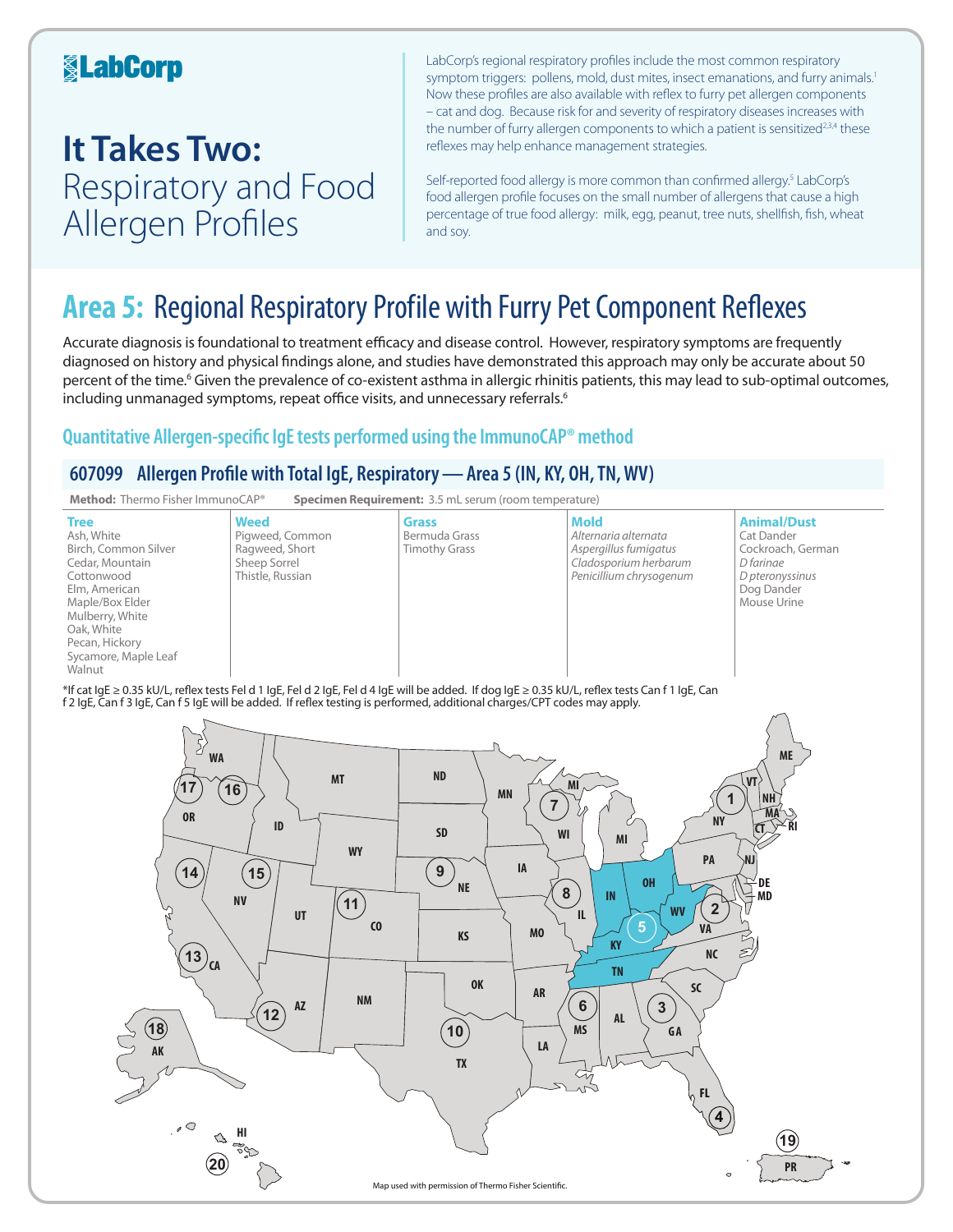### **KabCorp**

## **It Takes Two:**  Respiratory and Food Allergen Profiles

LabCorp's regional respiratory profiles include the most common respiratory symptom triggers: pollens, mold, dust mites, insect emanations, and furry animals.<sup>1</sup> Now these profiles are also available with reflex to furry pet allergen components – cat and dog. Because risk for and severity of respiratory diseases increases with the number of furry allergen components to which a patient is sensitized<sup>2,3,4</sup> these reflexes may help enhance management strategies.

Self-reported food allergy is more common than confirmed allergy.<sup>5</sup> LabCorp's food allergen profile focuses on the small number of allergens that cause a high percentage of true food allergy: milk, egg, peanut, tree nuts, shellfish, fish, wheat and soy.

## **Area 5:** Regional Respiratory Profile with Furry Pet Component Reflexes

Accurate diagnosis is foundational to treatment efficacy and disease control. However, respiratory symptoms are frequently diagnosed on history and physical findings alone, and studies have demonstrated this approach may only be accurate about 50 percent of the time.<sup>6</sup> Given the prevalence of co-existent asthma in allergic rhinitis patients, this may lead to sub-optimal outcomes, including unmanaged symptoms, repeat office visits, and unnecessary referrals.<sup>6</sup>

### **Quantitative Allergen-specific IgE tests performed using the ImmunoCAP® method**

### **607099 Allergen Profile with Total IgE, Respiratory—Area 5 (IN, KY, OH, TN, WV)**